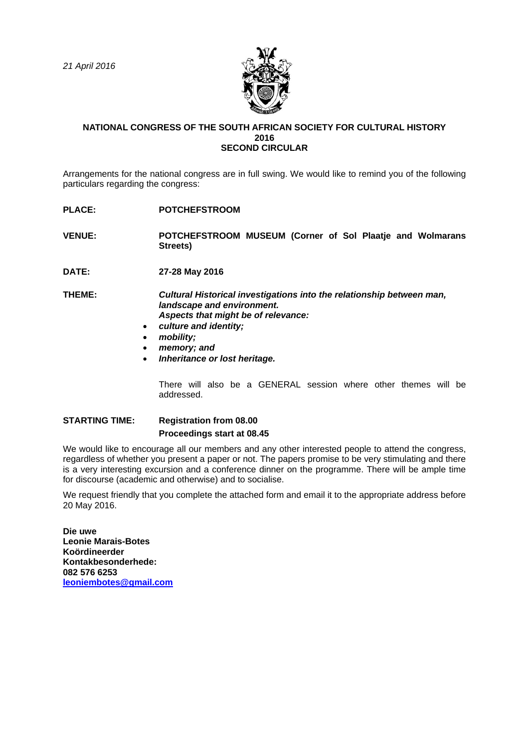

## **NATIONAL CONGRESS OF THE SOUTH AFRICAN SOCIETY FOR CULTURAL HISTORY 2016 SECOND CIRCULAR**

Arrangements for the national congress are in full swing. We would like to remind you of the following particulars regarding the congress:

- **PLACE: POTCHEFSTROOM**
- **VENUE: POTCHEFSTROOM MUSEUM (Corner of Sol Plaatje and Wolmarans Streets)**
- **DATE: 27-28 May 2016**

**THEME:** *Cultural Historical investigations into the relationship between man, landscape and environment. Aspects that might be of relevance:*

- *culture and identity;*
- *mobility;*
- *memory; and*
- *Inheritance or lost heritage.*

There will also be a GENERAL session where other themes will be addressed.

## **STARTING TIME: Registration from 08.00 Proceedings start at 08.45**

We would like to encourage all our members and any other interested people to attend the congress, regardless of whether you present a paper or not. The papers promise to be very stimulating and there is a very interesting excursion and a conference dinner on the programme. There will be ample time for discourse (academic and otherwise) and to socialise.

We request friendly that you complete the attached form and email it to the appropriate address before 20 May 2016.

**Die uwe Leonie Marais-Botes Koördineerder Kontakbesonderhede: 082 576 6253 [leoniembotes@gmail.com](mailto:leoniembotes@gmail.com)**